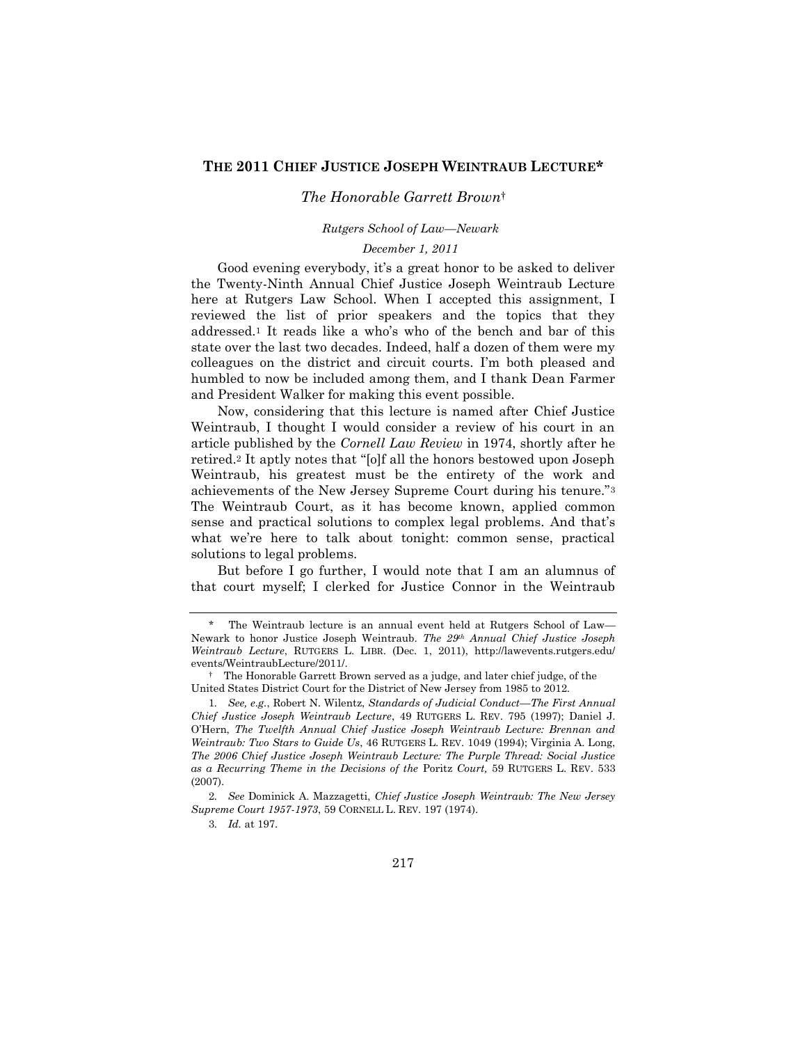## **THE 2011 CHIEF JUSTICE JOSEPH WEINTRAUB LECTURE\***

## *The Honorable Garrett Brown*†

## *Rutgers School of Law—Newark*

## *December 1, 2011*

Good evening everybody, it's a great honor to be asked to deliver the Twenty-Ninth Annual Chief Justice Joseph Weintraub Lecture here at Rutgers Law School. When I accepted this assignment, I reviewed the list of prior speakers and the topics that they addressed.<sup>1</sup> It reads like a who's who of the bench and bar of this state over the last two decades. Indeed, half a dozen of them were my colleagues on the district and circuit courts. I'm both pleased and humbled to now be included among them, and I thank Dean Farmer and President Walker for making this event possible.

Now, considering that this lecture is named after Chief Justice Weintraub, I thought I would consider a review of his court in an article published by the *Cornell Law Review* in 1974, shortly after he retired.<sup>2</sup> It aptly notes that "[o]f all the honors bestowed upon Joseph Weintraub, his greatest must be the entirety of the work and achievements of the New Jersey Supreme Court during his tenure."<sup>3</sup> The Weintraub Court, as it has become known, applied common sense and practical solutions to complex legal problems. And that's what we're here to talk about tonight: common sense, practical solutions to legal problems.

But before I go further, I would note that I am an alumnus of that court myself; I clerked for Justice Connor in the Weintraub

The Weintraub lecture is an annual event held at Rutgers School of Law— Newark to honor Justice Joseph Weintraub. *The 29th Annual Chief Justice Joseph Weintraub Lecture*, RUTGERS L. LIBR. (Dec. 1, 2011), http://lawevents.rutgers.edu/ events/WeintraubLecture/2011/.

<sup>†</sup> The Honorable Garrett Brown served as a judge, and later chief judge, of the United States District Court for the District of New Jersey from 1985 to 2012.

<sup>1</sup>*. See, e.g.*, Robert N. Wilentz, *Standards of Judicial Conduct—The First Annual Chief Justice Joseph Weintraub Lecture*, 49 RUTGERS L. REV. 795 (1997); Daniel J. O'Hern, *The Twelfth Annual Chief Justice Joseph Weintraub Lecture: Brennan and Weintraub: Two Stars to Guide Us*, 46 RUTGERS L. REV. 1049 (1994); Virginia A. Long, *The 2006 Chief Justice Joseph Weintraub Lecture: The Purple Thread: Social Justice as a Recurring Theme in the Decisions of the* Poritz *Court,* 59 RUTGERS L. REV. 533 (2007).

<sup>2</sup>*. See* Dominick A. Mazzagetti, *Chief Justice Joseph Weintraub: The New Jersey Supreme Court 1957-1973*, 59 CORNELL L. REV. 197 (1974).

<sup>3</sup>*. Id.* at 197.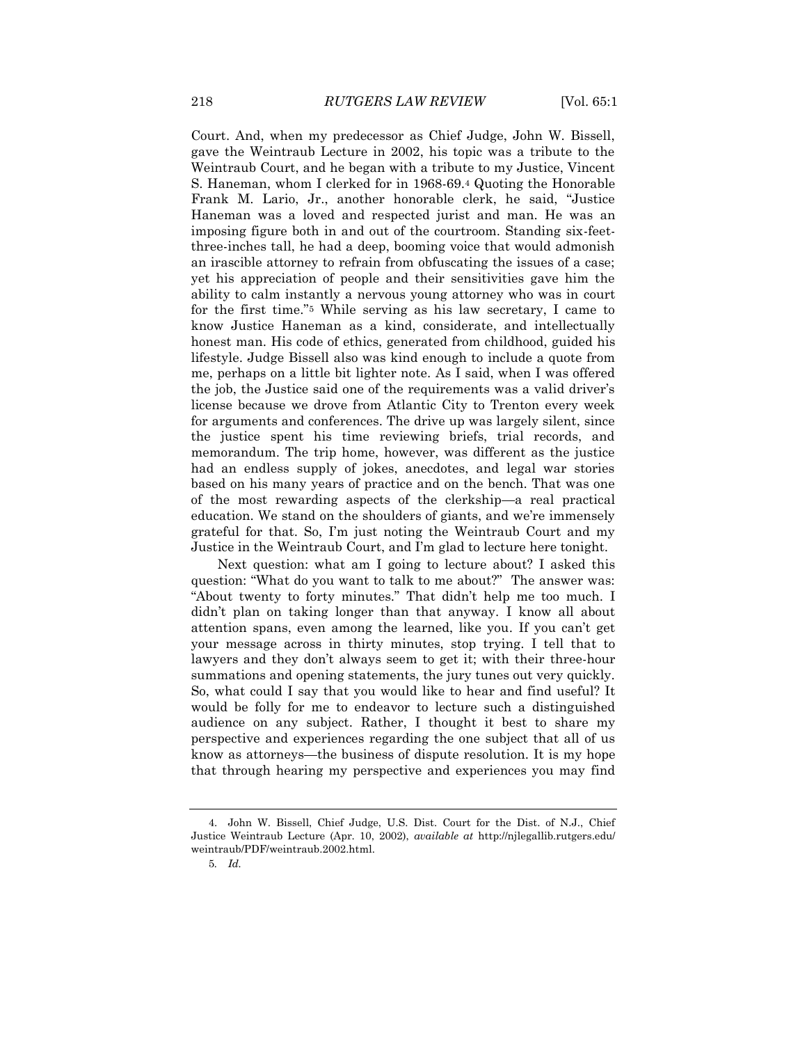Court. And, when my predecessor as Chief Judge, John W. Bissell, gave the Weintraub Lecture in 2002, his topic was a tribute to the Weintraub Court, and he began with a tribute to my Justice, Vincent S. Haneman, whom I clerked for in 1968-69.<sup>4</sup> Quoting the Honorable Frank M. Lario, Jr., another honorable clerk, he said, "Justice Haneman was a loved and respected jurist and man. He was an imposing figure both in and out of the courtroom. Standing six-feetthree-inches tall, he had a deep, booming voice that would admonish an irascible attorney to refrain from obfuscating the issues of a case; yet his appreciation of people and their sensitivities gave him the ability to calm instantly a nervous young attorney who was in court for the first time."<sup>5</sup> While serving as his law secretary, I came to know Justice Haneman as a kind, considerate, and intellectually honest man. His code of ethics, generated from childhood, guided his lifestyle. Judge Bissell also was kind enough to include a quote from me, perhaps on a little bit lighter note. As I said, when I was offered the job, the Justice said one of the requirements was a valid driver's license because we drove from Atlantic City to Trenton every week for arguments and conferences. The drive up was largely silent, since the justice spent his time reviewing briefs, trial records, and memorandum. The trip home, however, was different as the justice had an endless supply of jokes, anecdotes, and legal war stories based on his many years of practice and on the bench. That was one of the most rewarding aspects of the clerkship—a real practical education. We stand on the shoulders of giants, and we're immensely grateful for that. So, I'm just noting the Weintraub Court and my Justice in the Weintraub Court, and I'm glad to lecture here tonight.

Next question: what am I going to lecture about? I asked this question: "What do you want to talk to me about?" The answer was: "About twenty to forty minutes." That didn't help me too much. I didn't plan on taking longer than that anyway. I know all about attention spans, even among the learned, like you. If you can't get your message across in thirty minutes, stop trying. I tell that to lawyers and they don't always seem to get it; with their three-hour summations and opening statements, the jury tunes out very quickly. So, what could I say that you would like to hear and find useful? It would be folly for me to endeavor to lecture such a distinguished audience on any subject. Rather, I thought it best to share my perspective and experiences regarding the one subject that all of us know as attorneys—the business of dispute resolution. It is my hope that through hearing my perspective and experiences you may find

<sup>4.</sup> John W. Bissell, Chief Judge, U.S. Dist. Court for the Dist. of N.J., Chief Justice Weintraub Lecture (Apr. 10, 2002), *available at* http://njlegallib.rutgers.edu/ weintraub/PDF/weintraub.2002.html.

<sup>5</sup>*. Id.*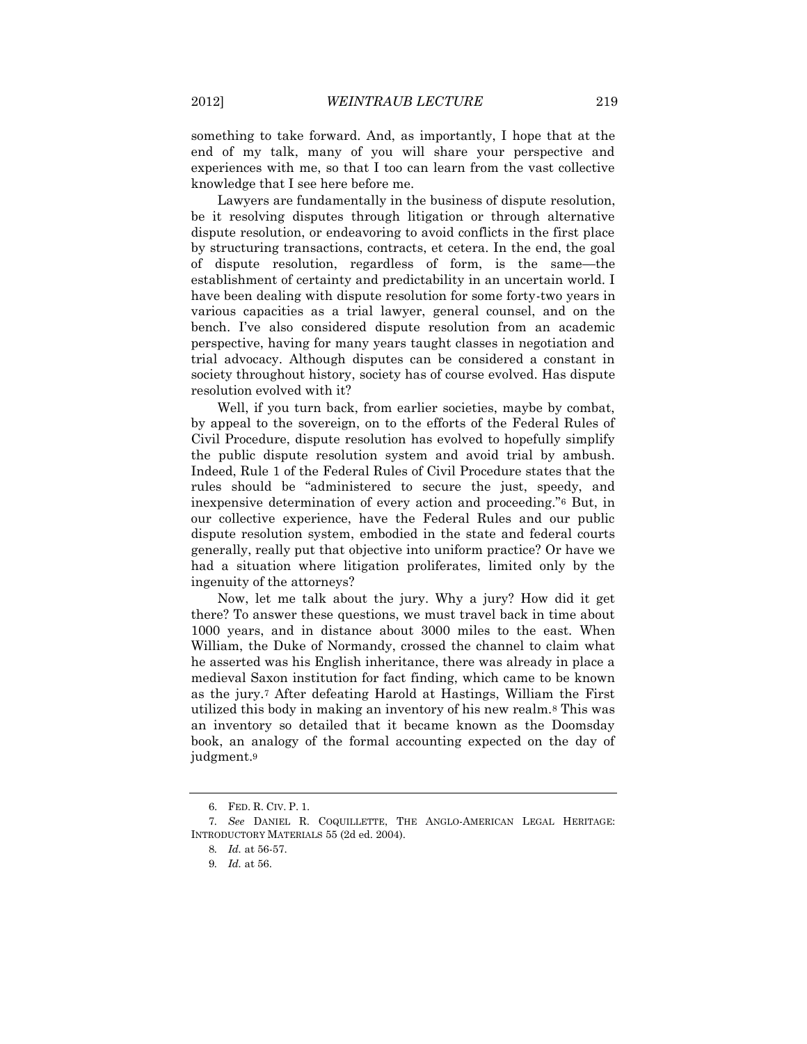something to take forward. And, as importantly, I hope that at the end of my talk, many of you will share your perspective and experiences with me, so that I too can learn from the vast collective knowledge that I see here before me.

Lawyers are fundamentally in the business of dispute resolution, be it resolving disputes through litigation or through alternative dispute resolution, or endeavoring to avoid conflicts in the first place by structuring transactions, contracts, et cetera. In the end, the goal of dispute resolution, regardless of form, is the same—the establishment of certainty and predictability in an uncertain world. I have been dealing with dispute resolution for some forty-two years in various capacities as a trial lawyer, general counsel, and on the bench. I've also considered dispute resolution from an academic perspective, having for many years taught classes in negotiation and trial advocacy. Although disputes can be considered a constant in society throughout history, society has of course evolved. Has dispute resolution evolved with it?

Well, if you turn back, from earlier societies, maybe by combat, by appeal to the sovereign, on to the efforts of the Federal Rules of Civil Procedure, dispute resolution has evolved to hopefully simplify the public dispute resolution system and avoid trial by ambush. Indeed, Rule 1 of the Federal Rules of Civil Procedure states that the rules should be "administered to secure the just, speedy, and inexpensive determination of every action and proceeding."<sup>6</sup> But, in our collective experience, have the Federal Rules and our public dispute resolution system, embodied in the state and federal courts generally, really put that objective into uniform practice? Or have we had a situation where litigation proliferates, limited only by the ingenuity of the attorneys?

Now, let me talk about the jury. Why a jury? How did it get there? To answer these questions, we must travel back in time about 1000 years, and in distance about 3000 miles to the east. When William, the Duke of Normandy, crossed the channel to claim what he asserted was his English inheritance, there was already in place a medieval Saxon institution for fact finding, which came to be known as the jury.<sup>7</sup> After defeating Harold at Hastings, William the First utilized this body in making an inventory of his new realm.<sup>8</sup> This was an inventory so detailed that it became known as the Doomsday book, an analogy of the formal accounting expected on the day of judgment.<sup>9</sup>

<sup>6.</sup> FED. R. CIV. P. 1.

<sup>7</sup>*. See* DANIEL R. COQUILLETTE, THE ANGLO-AMERICAN LEGAL HERITAGE: INTRODUCTORY MATERIALS 55 (2d ed. 2004).

<sup>8</sup>*. Id.* at 56-57.

<sup>9</sup>*. Id.* at 56.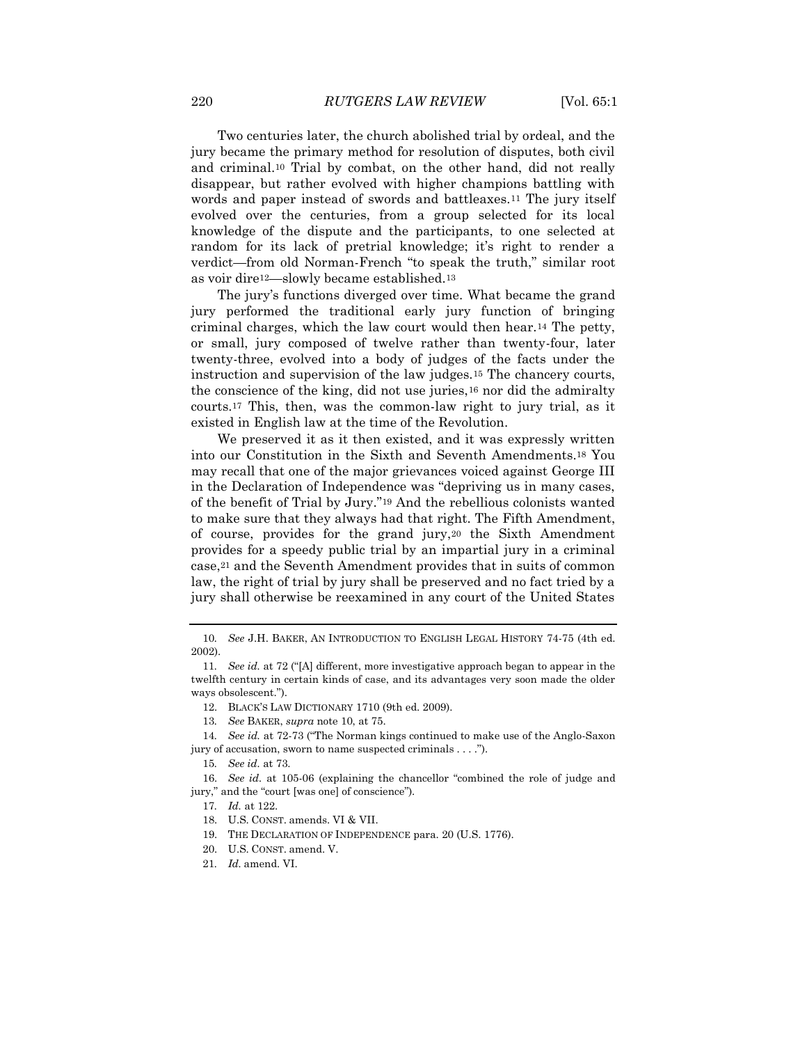Two centuries later, the church abolished trial by ordeal, and the jury became the primary method for resolution of disputes, both civil and criminal.<sup>10</sup> Trial by combat, on the other hand, did not really disappear, but rather evolved with higher champions battling with words and paper instead of swords and battleaxes.<sup>11</sup> The jury itself evolved over the centuries, from a group selected for its local knowledge of the dispute and the participants, to one selected at random for its lack of pretrial knowledge; it's right to render a verdict—from old Norman-French "to speak the truth," similar root as voir dire12—slowly became established.<sup>13</sup>

The jury's functions diverged over time. What became the grand jury performed the traditional early jury function of bringing criminal charges, which the law court would then hear.<sup>14</sup> The petty, or small, jury composed of twelve rather than twenty-four, later twenty-three, evolved into a body of judges of the facts under the instruction and supervision of the law judges.<sup>15</sup> The chancery courts, the conscience of the king, did not use juries,<sup>16</sup> nor did the admiralty courts.<sup>17</sup> This, then, was the common-law right to jury trial, as it existed in English law at the time of the Revolution.

We preserved it as it then existed, and it was expressly written into our Constitution in the Sixth and Seventh Amendments.<sup>18</sup> You may recall that one of the major grievances voiced against George III in the Declaration of Independence was "depriving us in many cases, of the benefit of Trial by Jury."<sup>19</sup> And the rebellious colonists wanted to make sure that they always had that right. The Fifth Amendment, of course, provides for the grand jury,<sup>20</sup> the Sixth Amendment provides for a speedy public trial by an impartial jury in a criminal case,<sup>21</sup> and the Seventh Amendment provides that in suits of common law, the right of trial by jury shall be preserved and no fact tried by a jury shall otherwise be reexamined in any court of the United States

- 19. THE DECLARATION OF INDEPENDENCE para. 20 (U.S. 1776).
- 20. U.S. CONST. amend. V.

<sup>10</sup>*. See* J.H. BAKER, AN INTRODUCTION TO ENGLISH LEGAL HISTORY 74-75 (4th ed. 2002).

<sup>11</sup>*. See id.* at 72 ("[A] different, more investigative approach began to appear in the twelfth century in certain kinds of case, and its advantages very soon made the older ways obsolescent.").

<sup>12.</sup> BLACK'S LAW DICTIONARY 1710 (9th ed. 2009).

<sup>13</sup>*. See* BAKER, *supra* note 10, at 75.

<sup>14</sup>*. See id.* at 72-73 ("The Norman kings continued to make use of the Anglo-Saxon jury of accusation, sworn to name suspected criminals . . . .").

<sup>15</sup>*. See id.* at 73.

<sup>16.</sup> *See id.* at 105-06 (explaining the chancellor "combined the role of judge and jury," and the "court [was one] of conscience").

<sup>17</sup>*. Id.* at 122.

<sup>18.</sup> U.S. CONST. amends. VI & VII.

<sup>21</sup>*. Id.* amend. VI.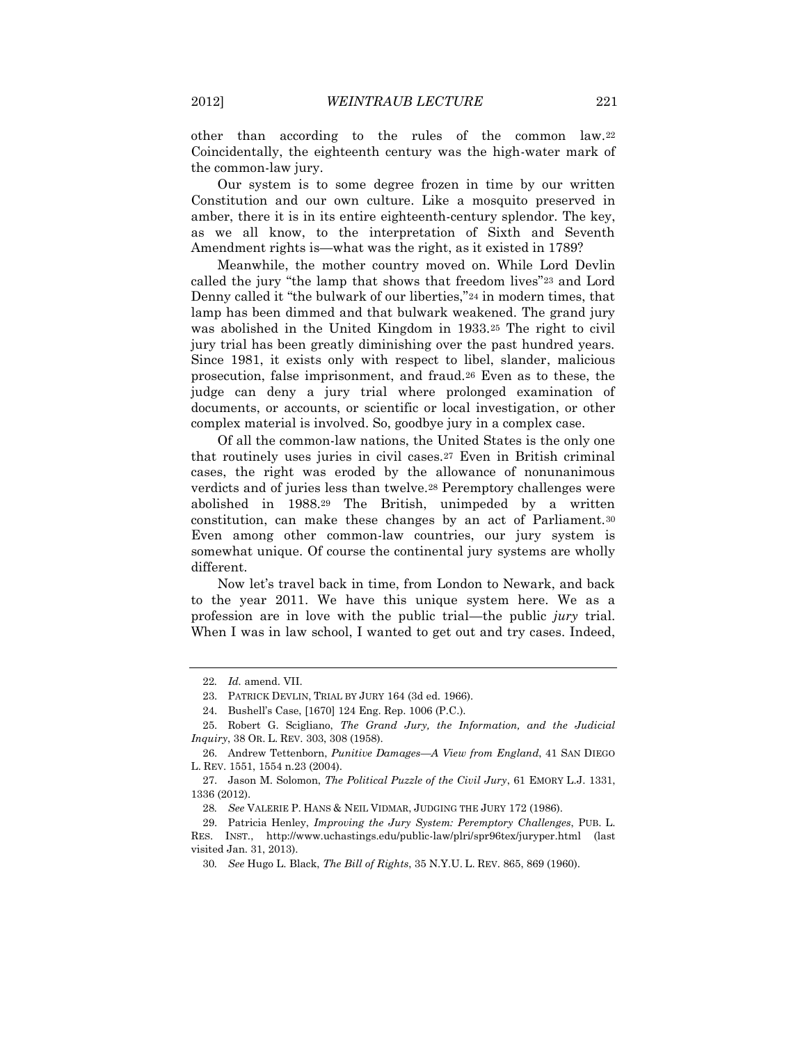other than according to the rules of the common law.<sup>22</sup> Coincidentally, the eighteenth century was the high-water mark of the common-law jury.

Our system is to some degree frozen in time by our written Constitution and our own culture. Like a mosquito preserved in amber, there it is in its entire eighteenth-century splendor. The key, as we all know, to the interpretation of Sixth and Seventh Amendment rights is—what was the right, as it existed in 1789?

Meanwhile, the mother country moved on. While Lord Devlin called the jury "the lamp that shows that freedom lives"<sup>23</sup> and Lord Denny called it "the bulwark of our liberties,"<sup>24</sup> in modern times, that lamp has been dimmed and that bulwark weakened. The grand jury was abolished in the United Kingdom in 1933.<sup>25</sup> The right to civil jury trial has been greatly diminishing over the past hundred years. Since 1981, it exists only with respect to libel, slander, malicious prosecution, false imprisonment, and fraud.<sup>26</sup> Even as to these, the judge can deny a jury trial where prolonged examination of documents, or accounts, or scientific or local investigation, or other complex material is involved. So, goodbye jury in a complex case.

Of all the common-law nations, the United States is the only one that routinely uses juries in civil cases.<sup>27</sup> Even in British criminal cases, the right was eroded by the allowance of nonunanimous verdicts and of juries less than twelve.<sup>28</sup> Peremptory challenges were abolished in 1988.<sup>29</sup> The British, unimpeded by a written constitution, can make these changes by an act of Parliament.<sup>30</sup> Even among other common-law countries, our jury system is somewhat unique. Of course the continental jury systems are wholly different.

Now let's travel back in time, from London to Newark, and back to the year 2011. We have this unique system here. We as a profession are in love with the public trial—the public *jury* trial. When I was in law school, I wanted to get out and try cases. Indeed,

<sup>22</sup>*. Id.* amend. VII.

<sup>23.</sup> PATRICK DEVLIN, TRIAL BY JURY 164 (3d ed. 1966).

<sup>24.</sup> Bushell's Case, [1670] 124 Eng. Rep. 1006 (P.C.).

<sup>25.</sup> Robert G. Scigliano, *The Grand Jury, the Information, and the Judicial Inquiry*, 38 OR. L. REV. 303, 308 (1958).

<sup>26.</sup> Andrew Tettenborn, *Punitive Damages—A View from England*, 41 SAN DIEGO L. REV. 1551, 1554 n.23 (2004).

<sup>27.</sup> Jason M. Solomon, *The Political Puzzle of the Civil Jury*, 61 EMORY L.J. 1331, 1336 (2012).

<sup>28</sup>*. See* VALERIE P. HANS & NEIL VIDMAR, JUDGING THE JURY 172 (1986).

<sup>29.</sup> Patricia Henley, *Improving the Jury System: Peremptory Challenges*, PUB. L. RES. INST., http://www.uchastings.edu/public-law/plri/spr96tex/juryper.html (last visited Jan. 31, 2013).

<sup>30</sup>*. See* Hugo L. Black, *The Bill of Rights*, 35 N.Y.U. L. REV. 865, 869 (1960).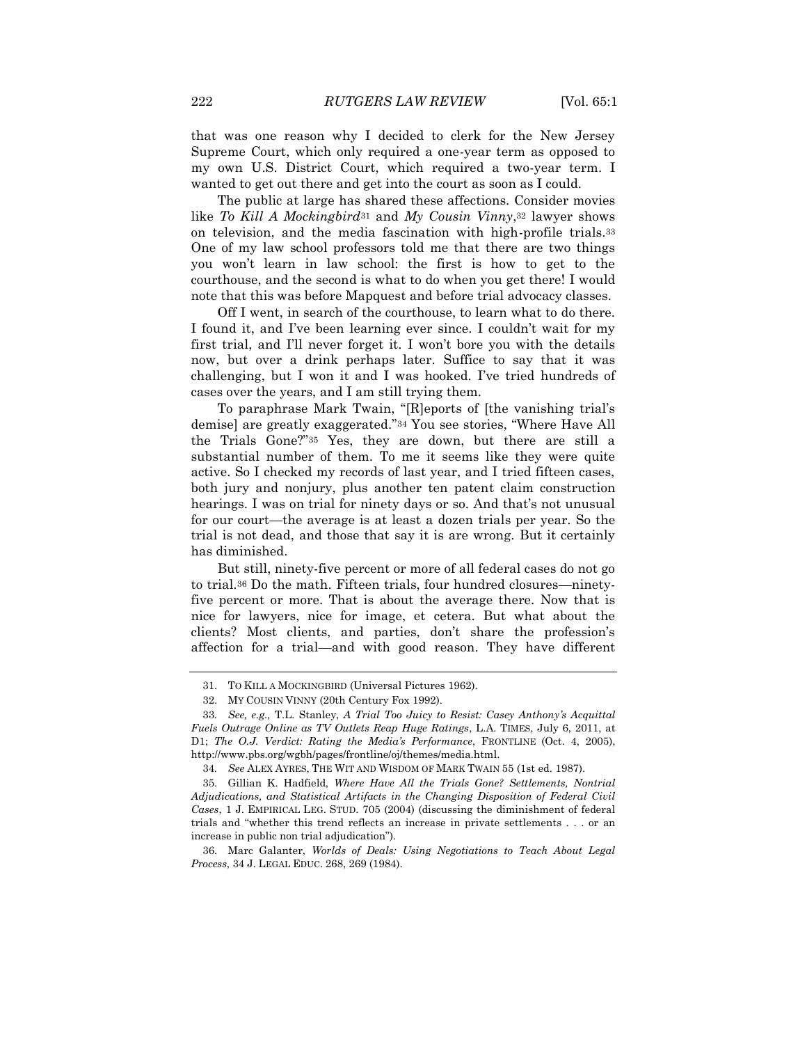that was one reason why I decided to clerk for the New Jersey Supreme Court, which only required a one-year term as opposed to my own U.S. District Court, which required a two-year term. I wanted to get out there and get into the court as soon as I could.

The public at large has shared these affections. Consider movies like *To Kill A Mockingbird*<sup>31</sup> and *My Cousin Vinny*,<sup>32</sup> lawyer shows on television, and the media fascination with high-profile trials.<sup>33</sup> One of my law school professors told me that there are two things you won't learn in law school: the first is how to get to the courthouse, and the second is what to do when you get there! I would note that this was before Mapquest and before trial advocacy classes.

Off I went, in search of the courthouse, to learn what to do there. I found it, and I've been learning ever since. I couldn't wait for my first trial, and I'll never forget it. I won't bore you with the details now, but over a drink perhaps later. Suffice to say that it was challenging, but I won it and I was hooked. I've tried hundreds of cases over the years, and I am still trying them.

To paraphrase Mark Twain, "[R]eports of [the vanishing trial's demise] are greatly exaggerated."<sup>34</sup> You see stories, "Where Have All the Trials Gone?"<sup>35</sup> Yes, they are down, but there are still a substantial number of them. To me it seems like they were quite active. So I checked my records of last year, and I tried fifteen cases, both jury and nonjury, plus another ten patent claim construction hearings. I was on trial for ninety days or so. And that's not unusual for our court—the average is at least a dozen trials per year. So the trial is not dead, and those that say it is are wrong. But it certainly has diminished.

But still, ninety-five percent or more of all federal cases do not go to trial.<sup>36</sup> Do the math. Fifteen trials, four hundred closures—ninetyfive percent or more. That is about the average there. Now that is nice for lawyers, nice for image, et cetera. But what about the clients? Most clients, and parties, don't share the profession's affection for a trial—and with good reason. They have different

<sup>31.</sup> TO KILL A MOCKINGBIRD (Universal Pictures 1962).

<sup>32.</sup> MY COUSIN VINNY (20th Century Fox 1992).

<sup>33</sup>*. See, e.g.,* T.L. Stanley, *A Trial Too Juicy to Resist: Casey Anthony's Acquittal Fuels Outrage Online as TV Outlets Reap Huge Ratings*, L.A. TIMES, July 6, 2011, at D1; *The O.J. Verdict: Rating the Media's Performance*, FRONTLINE (Oct. 4, 2005), http://www.pbs.org/wgbh/pages/frontline/oj/themes/media.html.

<sup>34</sup>*. See* ALEX AYRES, THE WIT AND WISDOM OF MARK TWAIN 55 (1st ed. 1987).

<sup>35.</sup> Gillian K. Hadfield, *Where Have All the Trials Gone? Settlements, Nontrial Adjudications, and Statistical Artifacts in the Changing Disposition of Federal Civil Cases*, 1 J. EMPIRICAL LEG. STUD. 705 (2004) (discussing the diminishment of federal trials and "whether this trend reflects an increase in private settlements . . . or an increase in public non trial adjudication").

<sup>36.</sup> Marc Galanter, *Worlds of Deals: Using Negotiations to Teach About Legal Process*, 34 J. LEGAL EDUC. 268, 269 (1984).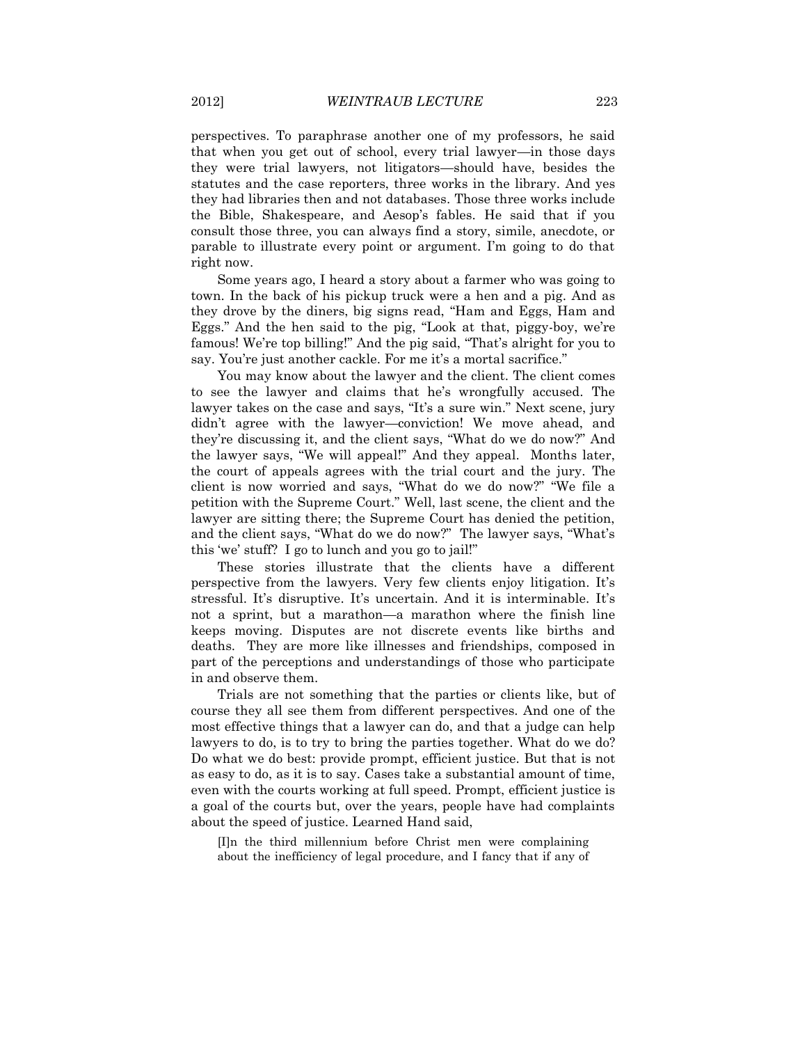perspectives. To paraphrase another one of my professors, he said that when you get out of school, every trial lawyer—in those days they were trial lawyers, not litigators—should have, besides the statutes and the case reporters, three works in the library. And yes they had libraries then and not databases. Those three works include the Bible, Shakespeare, and Aesop's fables. He said that if you consult those three, you can always find a story, simile, anecdote, or parable to illustrate every point or argument. I'm going to do that right now.

Some years ago, I heard a story about a farmer who was going to town. In the back of his pickup truck were a hen and a pig. And as they drove by the diners, big signs read, "Ham and Eggs, Ham and Eggs." And the hen said to the pig, "Look at that, piggy-boy, we're famous! We're top billing!" And the pig said, "That's alright for you to say. You're just another cackle. For me it's a mortal sacrifice."

You may know about the lawyer and the client. The client comes to see the lawyer and claims that he's wrongfully accused. The lawyer takes on the case and says, "It's a sure win." Next scene, jury didn't agree with the lawyer—conviction! We move ahead, and they're discussing it, and the client says, "What do we do now?" And the lawyer says, "We will appeal!" And they appeal. Months later, the court of appeals agrees with the trial court and the jury. The client is now worried and says, "What do we do now?" "We file a petition with the Supreme Court." Well, last scene, the client and the lawyer are sitting there; the Supreme Court has denied the petition, and the client says, "What do we do now?" The lawyer says, "What's this 'we' stuff? I go to lunch and you go to jail!"

These stories illustrate that the clients have a different perspective from the lawyers. Very few clients enjoy litigation. It's stressful. It's disruptive. It's uncertain. And it is interminable. It's not a sprint, but a marathon—a marathon where the finish line keeps moving. Disputes are not discrete events like births and deaths. They are more like illnesses and friendships, composed in part of the perceptions and understandings of those who participate in and observe them.

Trials are not something that the parties or clients like, but of course they all see them from different perspectives. And one of the most effective things that a lawyer can do, and that a judge can help lawyers to do, is to try to bring the parties together. What do we do? Do what we do best: provide prompt, efficient justice. But that is not as easy to do, as it is to say. Cases take a substantial amount of time, even with the courts working at full speed. Prompt, efficient justice is a goal of the courts but, over the years, people have had complaints about the speed of justice. Learned Hand said,

[I]n the third millennium before Christ men were complaining about the inefficiency of legal procedure, and I fancy that if any of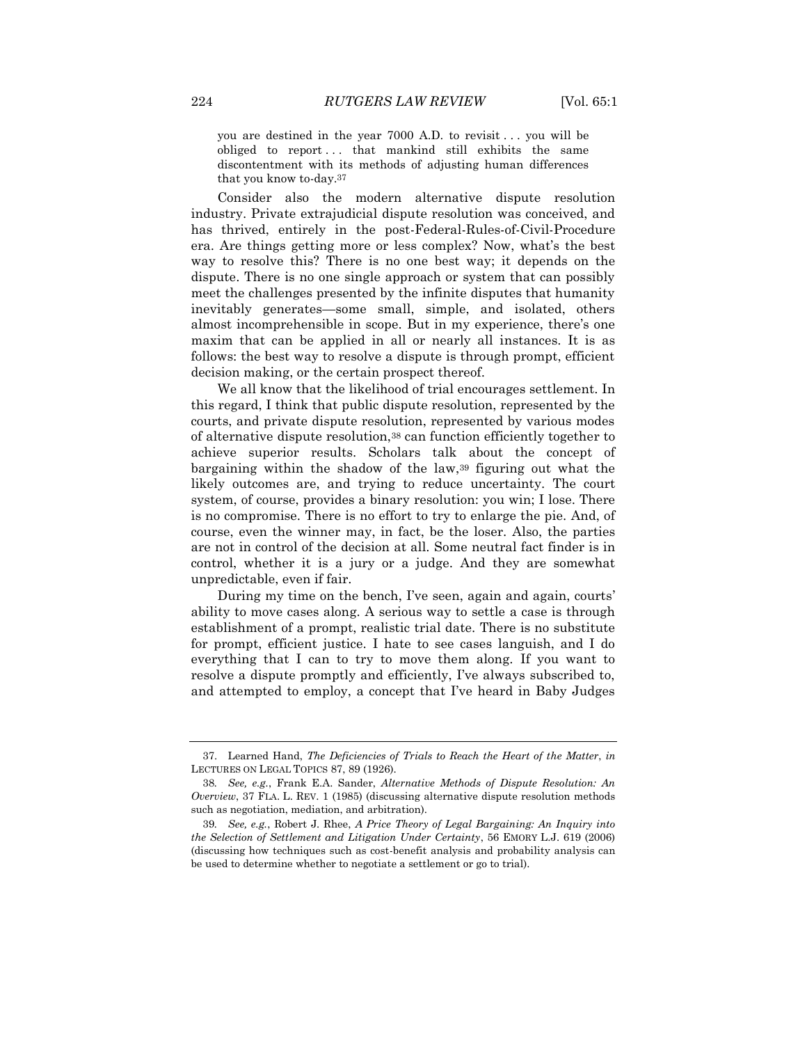you are destined in the year 7000 A.D. to revisit . . . you will be obliged to report... that mankind still exhibits the same discontentment with its methods of adjusting human differences that you know to-day.37

Consider also the modern alternative dispute resolution industry. Private extrajudicial dispute resolution was conceived, and has thrived, entirely in the post-Federal-Rules-of-Civil-Procedure era. Are things getting more or less complex? Now, what's the best way to resolve this? There is no one best way; it depends on the dispute. There is no one single approach or system that can possibly meet the challenges presented by the infinite disputes that humanity inevitably generates—some small, simple, and isolated, others almost incomprehensible in scope. But in my experience, there's one maxim that can be applied in all or nearly all instances. It is as follows: the best way to resolve a dispute is through prompt, efficient decision making, or the certain prospect thereof.

We all know that the likelihood of trial encourages settlement. In this regard, I think that public dispute resolution, represented by the courts, and private dispute resolution, represented by various modes of alternative dispute resolution,<sup>38</sup> can function efficiently together to achieve superior results. Scholars talk about the concept of bargaining within the shadow of the law,<sup>39</sup> figuring out what the likely outcomes are, and trying to reduce uncertainty. The court system, of course, provides a binary resolution: you win; I lose. There is no compromise. There is no effort to try to enlarge the pie. And, of course, even the winner may, in fact, be the loser. Also, the parties are not in control of the decision at all. Some neutral fact finder is in control, whether it is a jury or a judge. And they are somewhat unpredictable, even if fair.

During my time on the bench, I've seen, again and again, courts' ability to move cases along. A serious way to settle a case is through establishment of a prompt, realistic trial date. There is no substitute for prompt, efficient justice. I hate to see cases languish, and I do everything that I can to try to move them along. If you want to resolve a dispute promptly and efficiently, I've always subscribed to, and attempted to employ, a concept that I've heard in Baby Judges

<sup>37.</sup> Learned Hand, *The Deficiencies of Trials to Reach the Heart of the Matter*, *in*  LECTURES ON LEGAL TOPICS 87, 89 (1926).

<sup>38</sup>*. See, e.g.*, Frank E.A. Sander, *Alternative Methods of Dispute Resolution: An Overview*, 37 FLA. L. REV. 1 (1985) (discussing alternative dispute resolution methods such as negotiation, mediation, and arbitration).

<sup>39</sup>*. See, e.g.*, Robert J. Rhee, *A Price Theory of Legal Bargaining: An Inquiry into the Selection of Settlement and Litigation Under Certainty*, 56 EMORY L.J. 619 (2006) (discussing how techniques such as cost-benefit analysis and probability analysis can be used to determine whether to negotiate a settlement or go to trial).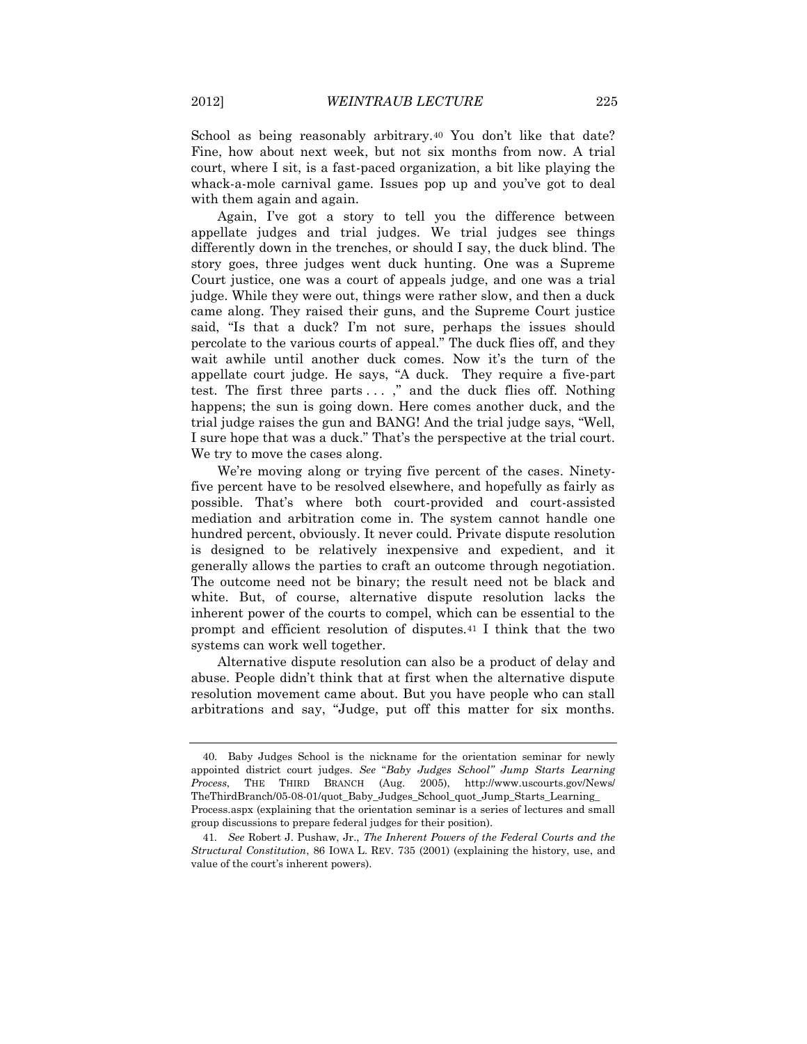School as being reasonably arbitrary.<sup>40</sup> You don't like that date? Fine, how about next week, but not six months from now. A trial court, where I sit, is a fast-paced organization, a bit like playing the whack-a-mole carnival game. Issues pop up and you've got to deal with them again and again.

Again, I've got a story to tell you the difference between appellate judges and trial judges. We trial judges see things differently down in the trenches, or should I say, the duck blind. The story goes, three judges went duck hunting. One was a Supreme Court justice, one was a court of appeals judge, and one was a trial judge. While they were out, things were rather slow, and then a duck came along. They raised their guns, and the Supreme Court justice said, "Is that a duck? I'm not sure, perhaps the issues should percolate to the various courts of appeal." The duck flies off, and they wait awhile until another duck comes. Now it's the turn of the appellate court judge. He says, "A duck. They require a five-part test. The first three parts . . . ," and the duck flies off. Nothing happens; the sun is going down. Here comes another duck, and the trial judge raises the gun and BANG! And the trial judge says, "Well, I sure hope that was a duck." That's the perspective at the trial court. We try to move the cases along.

We're moving along or trying five percent of the cases. Ninetyfive percent have to be resolved elsewhere, and hopefully as fairly as possible. That's where both court-provided and court-assisted mediation and arbitration come in. The system cannot handle one hundred percent, obviously. It never could. Private dispute resolution is designed to be relatively inexpensive and expedient, and it generally allows the parties to craft an outcome through negotiation. The outcome need not be binary; the result need not be black and white. But, of course, alternative dispute resolution lacks the inherent power of the courts to compel, which can be essential to the prompt and efficient resolution of disputes.<sup>41</sup> I think that the two systems can work well together.

Alternative dispute resolution can also be a product of delay and abuse. People didn't think that at first when the alternative dispute resolution movement came about. But you have people who can stall arbitrations and say, "Judge, put off this matter for six months.

<sup>40.</sup> Baby Judges School is the nickname for the orientation seminar for newly appointed district court judges. *See* "*Baby Judges School" Jump Starts Learning Process*, THE THIRD BRANCH (Aug. 2005), http://www.uscourts.gov/News/ TheThirdBranch/05-08-01/quot\_Baby\_Judges\_School\_quot\_Jump\_Starts\_Learning\_ Process.aspx (explaining that the orientation seminar is a series of lectures and small group discussions to prepare federal judges for their position).

<sup>41</sup>*. See* Robert J. Pushaw, Jr., *The Inherent Powers of the Federal Courts and the Structural Constitution*, 86 IOWA L. REV. 735 (2001) (explaining the history, use, and value of the court's inherent powers).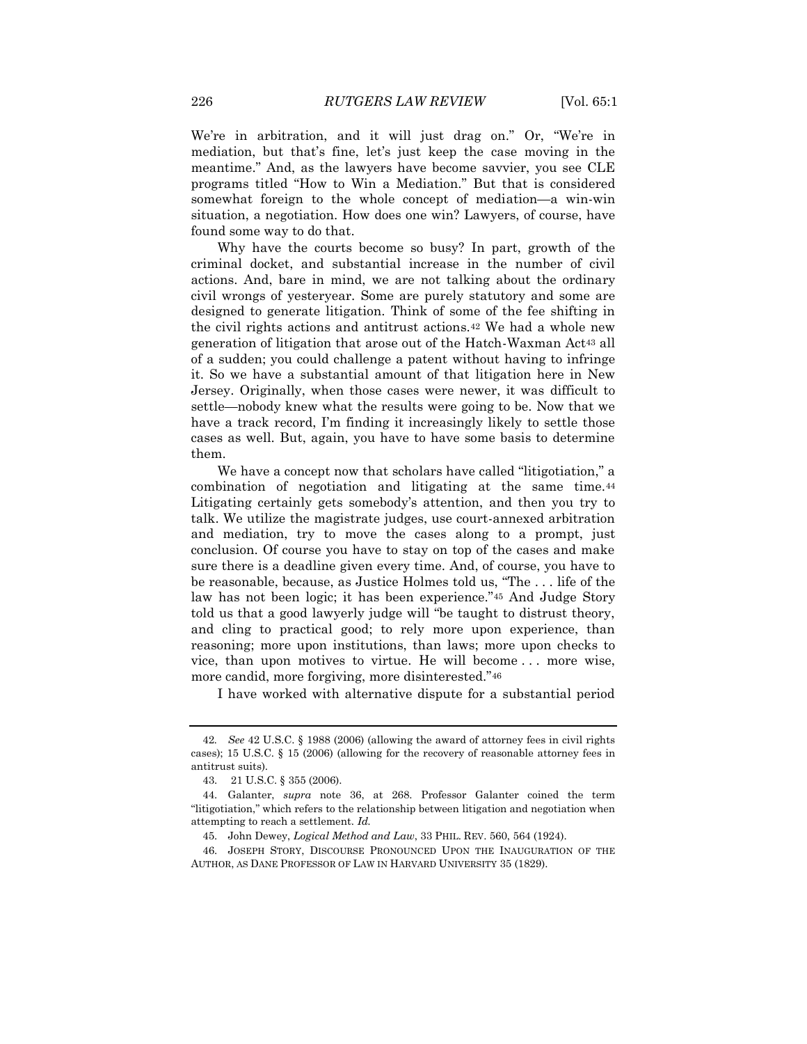We're in arbitration, and it will just drag on." Or, "We're in mediation, but that's fine, let's just keep the case moving in the meantime." And, as the lawyers have become savvier, you see CLE programs titled "How to Win a Mediation." But that is considered somewhat foreign to the whole concept of mediation—a win-win situation, a negotiation. How does one win? Lawyers, of course, have found some way to do that.

Why have the courts become so busy? In part, growth of the criminal docket, and substantial increase in the number of civil actions. And, bare in mind, we are not talking about the ordinary civil wrongs of yesteryear. Some are purely statutory and some are designed to generate litigation. Think of some of the fee shifting in the civil rights actions and antitrust actions.<sup>42</sup> We had a whole new generation of litigation that arose out of the Hatch-Waxman Act<sup>43</sup> all of a sudden; you could challenge a patent without having to infringe it. So we have a substantial amount of that litigation here in New Jersey. Originally, when those cases were newer, it was difficult to settle—nobody knew what the results were going to be. Now that we have a track record, I'm finding it increasingly likely to settle those cases as well. But, again, you have to have some basis to determine them.

We have a concept now that scholars have called "litigotiation," a combination of negotiation and litigating at the same time.<sup>44</sup> Litigating certainly gets somebody's attention, and then you try to talk. We utilize the magistrate judges, use court-annexed arbitration and mediation, try to move the cases along to a prompt, just conclusion. Of course you have to stay on top of the cases and make sure there is a deadline given every time. And, of course, you have to be reasonable, because, as Justice Holmes told us, "The . . . life of the law has not been logic; it has been experience."<sup>45</sup> And Judge Story told us that a good lawyerly judge will "be taught to distrust theory, and cling to practical good; to rely more upon experience, than reasoning; more upon institutions, than laws; more upon checks to vice, than upon motives to virtue. He will become . . . more wise, more candid, more forgiving, more disinterested."<sup>46</sup>

I have worked with alternative dispute for a substantial period

46. JOSEPH STORY, DISCOURSE PRONOUNCED UPON THE INAUGURATION OF THE AUTHOR, AS DANE PROFESSOR OF LAW IN HARVARD UNIVERSITY 35 (1829).

<sup>42</sup>*. See* 42 U.S.C. § 1988 (2006) (allowing the award of attorney fees in civil rights cases); 15 U.S.C. § 15 (2006) (allowing for the recovery of reasonable attorney fees in antitrust suits).

<sup>43.</sup> 21 U.S.C. § 355 (2006).

<sup>44.</sup> Galanter, *supra* note 36, at 268. Professor Galanter coined the term "litigotiation," which refers to the relationship between litigation and negotiation when attempting to reach a settlement. *Id.*

<sup>45.</sup> John Dewey, *Logical Method and Law*, 33 PHIL. REV. 560, 564 (1924).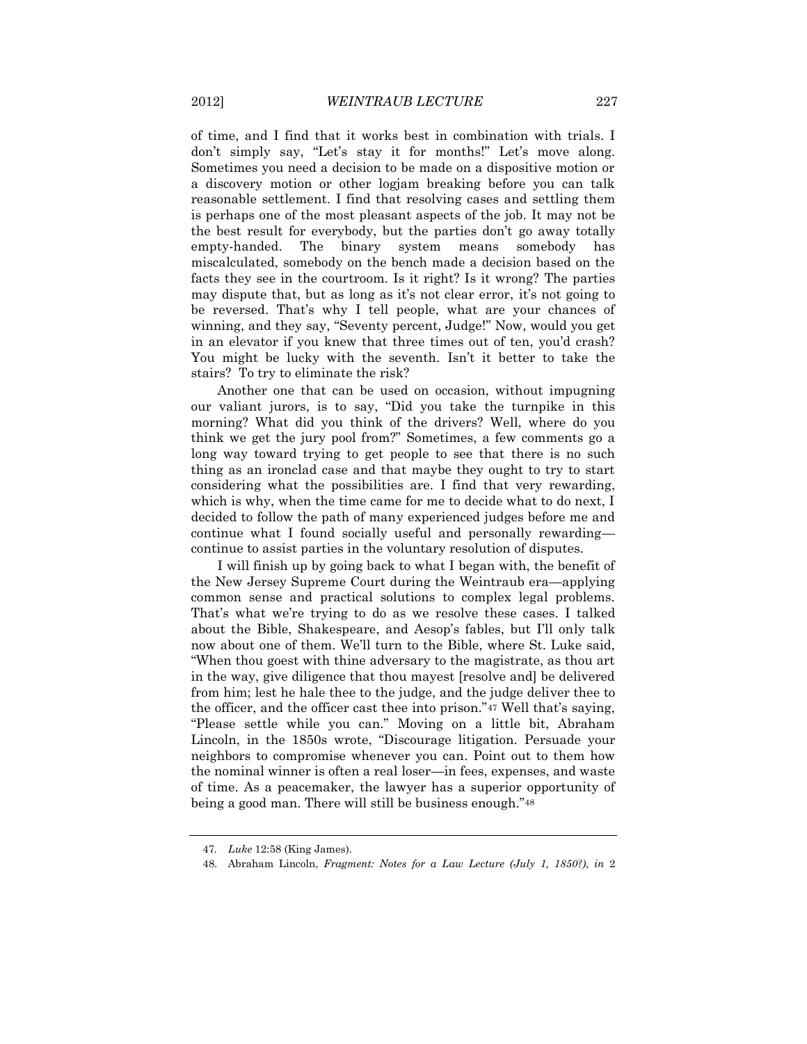of time, and I find that it works best in combination with trials. I don't simply say, "Let's stay it for months!" Let's move along. Sometimes you need a decision to be made on a dispositive motion or a discovery motion or other logjam breaking before you can talk reasonable settlement. I find that resolving cases and settling them is perhaps one of the most pleasant aspects of the job. It may not be the best result for everybody, but the parties don't go away totally empty-handed. The binary system means somebody has miscalculated, somebody on the bench made a decision based on the facts they see in the courtroom. Is it right? Is it wrong? The parties may dispute that, but as long as it's not clear error, it's not going to be reversed. That's why I tell people, what are your chances of winning, and they say, "Seventy percent, Judge!" Now, would you get in an elevator if you knew that three times out of ten, you'd crash? You might be lucky with the seventh. Isn't it better to take the stairs? To try to eliminate the risk?

Another one that can be used on occasion, without impugning our valiant jurors, is to say, "Did you take the turnpike in this morning? What did you think of the drivers? Well, where do you think we get the jury pool from?" Sometimes, a few comments go a long way toward trying to get people to see that there is no such thing as an ironclad case and that maybe they ought to try to start considering what the possibilities are. I find that very rewarding, which is why, when the time came for me to decide what to do next, I decided to follow the path of many experienced judges before me and continue what I found socially useful and personally rewarding continue to assist parties in the voluntary resolution of disputes.

I will finish up by going back to what I began with, the benefit of the New Jersey Supreme Court during the Weintraub era—applying common sense and practical solutions to complex legal problems. That's what we're trying to do as we resolve these cases. I talked about the Bible, Shakespeare, and Aesop's fables, but I'll only talk now about one of them. We'll turn to the Bible, where St. Luke said, "When thou goest with thine adversary to the magistrate, as thou art in the way, give diligence that thou mayest [resolve and] be delivered from him; lest he hale thee to the judge, and the judge deliver thee to the officer, and the officer cast thee into prison."<sup>47</sup> Well that's saying, "Please settle while you can." Moving on a little bit, Abraham Lincoln, in the 1850s wrote, "Discourage litigation. Persuade your neighbors to compromise whenever you can. Point out to them how the nominal winner is often a real loser—in fees, expenses, and waste of time. As a peacemaker, the lawyer has a superior opportunity of being a good man. There will still be business enough."<sup>48</sup>

<sup>47</sup>*. Luke* 12:58 (King James).

<sup>48.</sup> Abraham Lincoln, *Fragment: Notes for a Law Lecture (July 1, 1850?)*, *in* 2